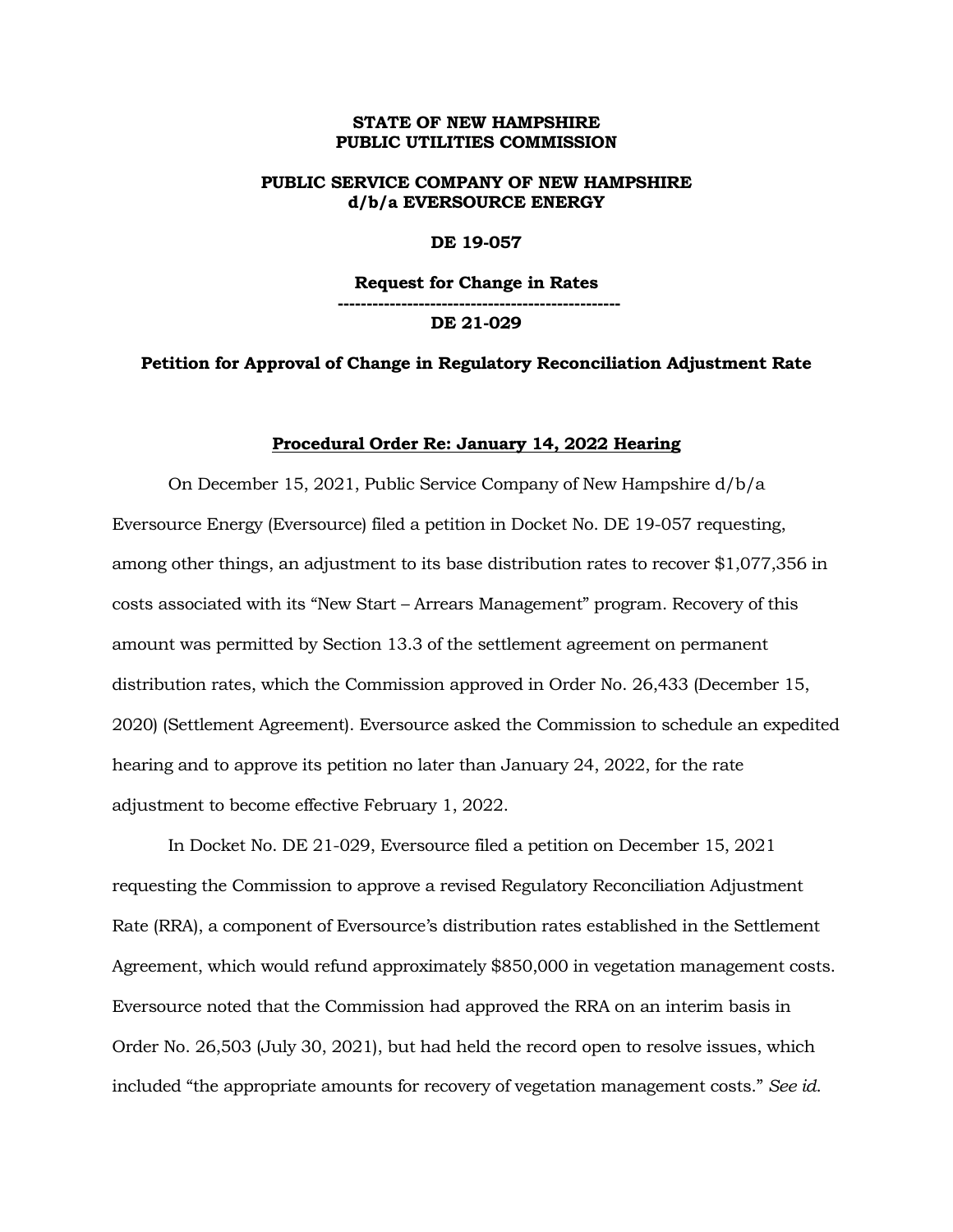### **STATE OF NEW HAMPSHIRE PUBLIC UTILITIES COMMISSION**

## **PUBLIC SERVICE COMPANY OF NEW HAMPSHIRE d/b/a EVERSOURCE ENERGY**

### **DE 19-057**

**Request for Change in Rates ------------------------------------------------- DE 21-029**

## **Petition for Approval of Change in Regulatory Reconciliation Adjustment Rate**

#### **Procedural Order Re: January 14, 2022 Hearing**

On December 15, 2021, Public Service Company of New Hampshire d/b/a Eversource Energy (Eversource) filed a petition in Docket No. DE 19-057 requesting, among other things, an adjustment to its base distribution rates to recover \$1,077,356 in costs associated with its "New Start – Arrears Management" program. Recovery of this amount was permitted by Section 13.3 of the settlement agreement on permanent distribution rates, which the Commission approved in Order No. 26,433 (December 15, 2020) (Settlement Agreement). Eversource asked the Commission to schedule an expedited hearing and to approve its petition no later than January 24, 2022, for the rate adjustment to become effective February 1, 2022.

In Docket No. DE 21-029, Eversource filed a petition on December 15, 2021 requesting the Commission to approve a revised Regulatory Reconciliation Adjustment Rate (RRA), a component of Eversource's distribution rates established in the Settlement Agreement, which would refund approximately \$850,000 in vegetation management costs. Eversource noted that the Commission had approved the RRA on an interim basis in Order No. 26,503 (July 30, 2021), but had held the record open to resolve issues, which included "the appropriate amounts for recovery of vegetation management costs." *See id*.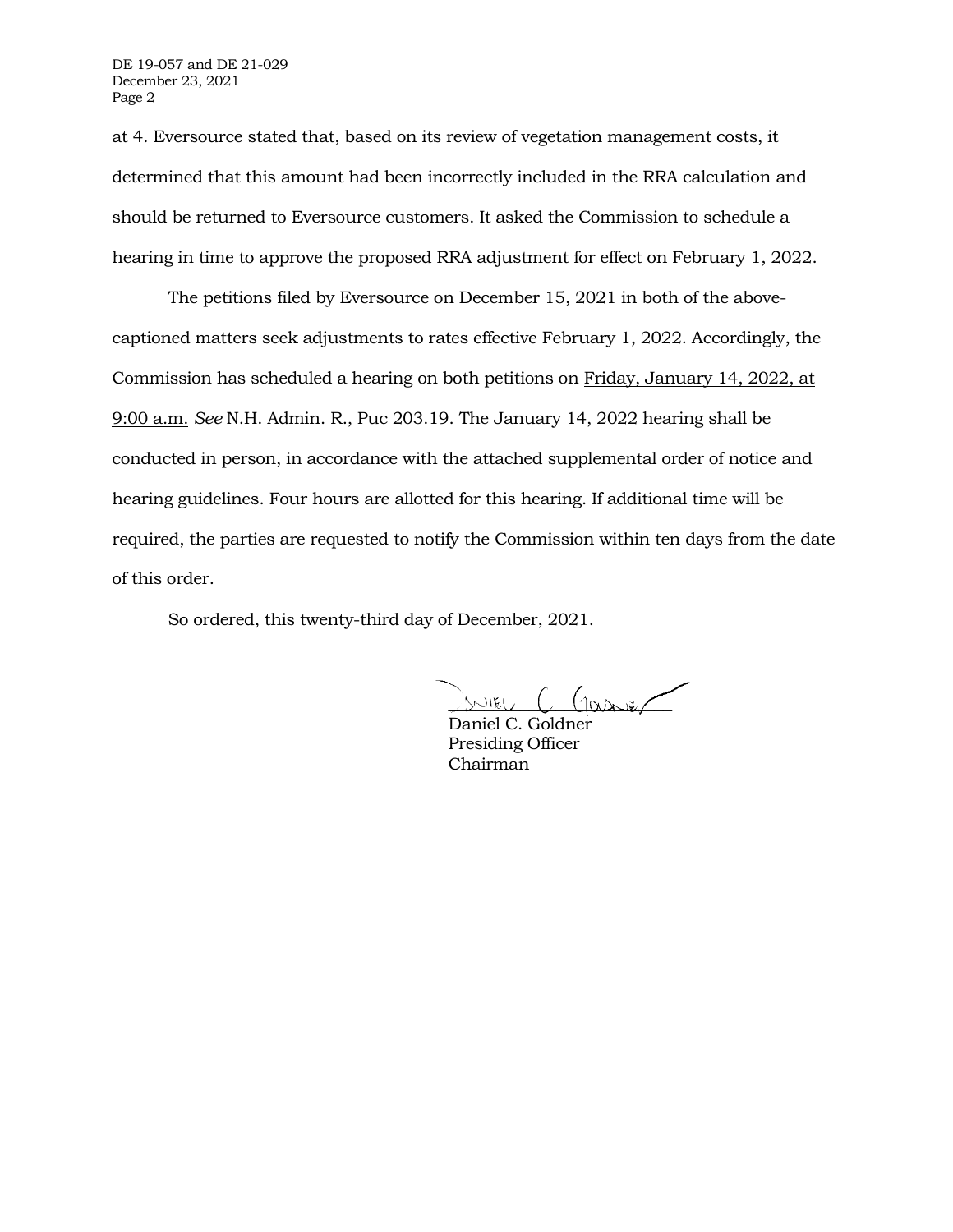at 4. Eversource stated that, based on its review of vegetation management costs, it determined that this amount had been incorrectly included in the RRA calculation and should be returned to Eversource customers. It asked the Commission to schedule a hearing in time to approve the proposed RRA adjustment for effect on February 1, 2022.

The petitions filed by Eversource on December 15, 2021 in both of the abovecaptioned matters seek adjustments to rates effective February 1, 2022. Accordingly, the Commission has scheduled a hearing on both petitions on Friday, January 14, 2022, at 9:00 a.m. *See* N.H. Admin. R., Puc 203.19. The January 14, 2022 hearing shall be conducted in person, in accordance with the attached supplemental order of notice and hearing guidelines. Four hours are allotted for this hearing. If additional time will be required, the parties are requested to notify the Commission within ten days from the date of this order.

So ordered, this twenty-third day of December, 2021.

 $NIEU$   $C$   $(10000)$ 

Daniel C. Goldner Presiding Officer Chairman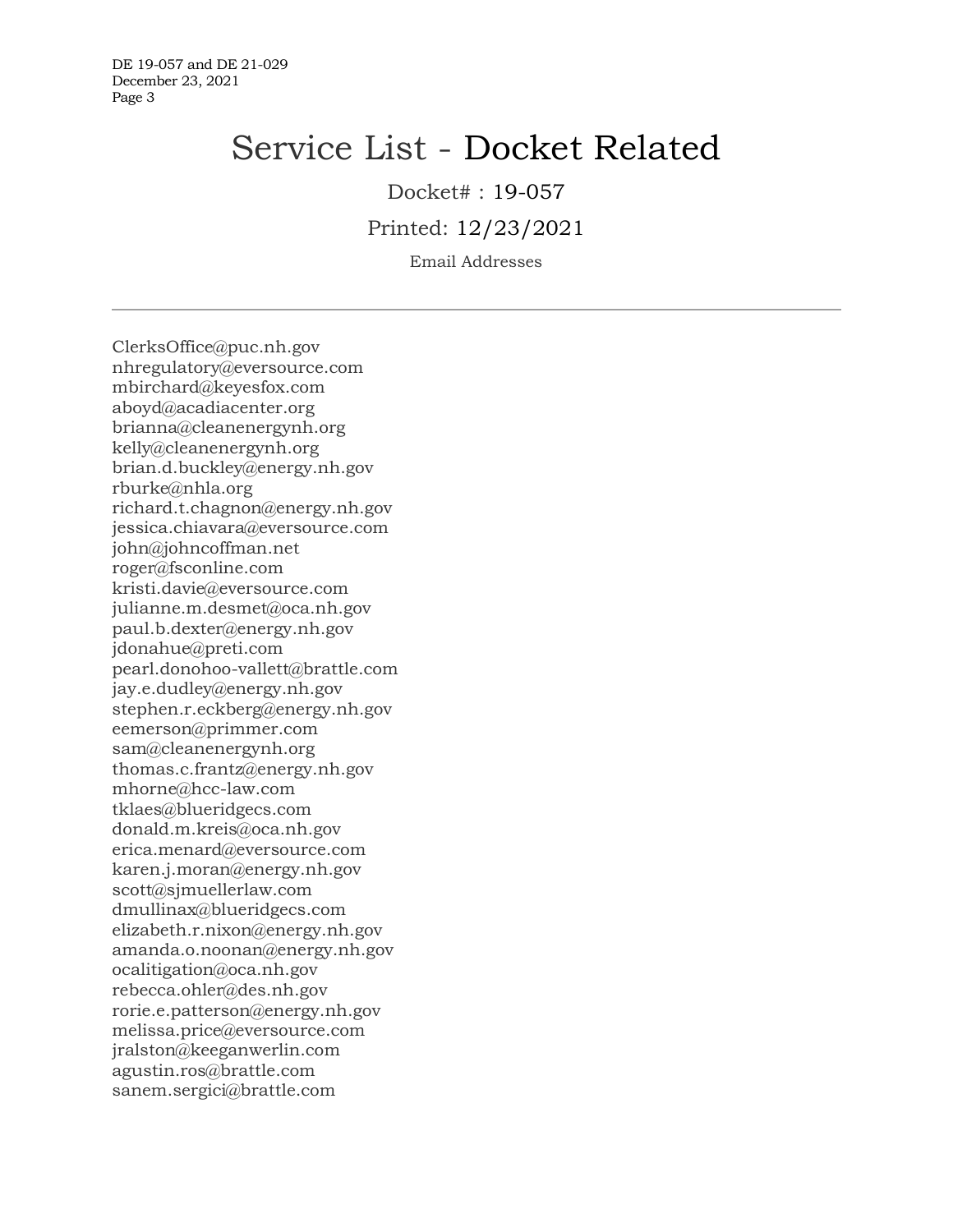DE 19-057 and DE 21-029 December 23, 2021 Page 3

# Service List - Docket Related

Docket# : 19-057

Printed: 12/23/2021

Email Addresses

ClerksOffice@puc.nh.gov nhregulatory@eversource.com mbirchard@keyesfox.com aboyd@acadiacenter.org brianna@cleanenergynh.org kelly@cleanenergynh.org brian.d.buckley@energy.nh.gov rburke@nhla.org richard.t.chagnon@energy.nh.gov jessica.chiavara@eversource.com john@johncoffman.net roger@fsconline.com kristi.davie@eversource.com julianne.m.desmet@oca.nh.gov paul.b.dexter@energy.nh.gov jdonahue@preti.com pearl.donohoo-vallett@brattle.com jay.e.dudley@energy.nh.gov stephen.r.eckberg@energy.nh.gov eemerson@primmer.com sam@cleanenergynh.org thomas.c.frantz@energy.nh.gov mhorne@hcc-law.com tklaes@blueridgecs.com donald.m.kreis@oca.nh.gov erica.menard@eversource.com karen.j.moran@energy.nh.gov scott@sjmuellerlaw.com dmullinax@blueridgecs.com elizabeth.r.nixon@energy.nh.gov amanda.o.noonan@energy.nh.gov ocalitigation@oca.nh.gov rebecca.ohler@des.nh.gov rorie.e.patterson@energy.nh.gov melissa.price@eversource.com jralston@keeganwerlin.com agustin.ros@brattle.com sanem.sergici@brattle.com